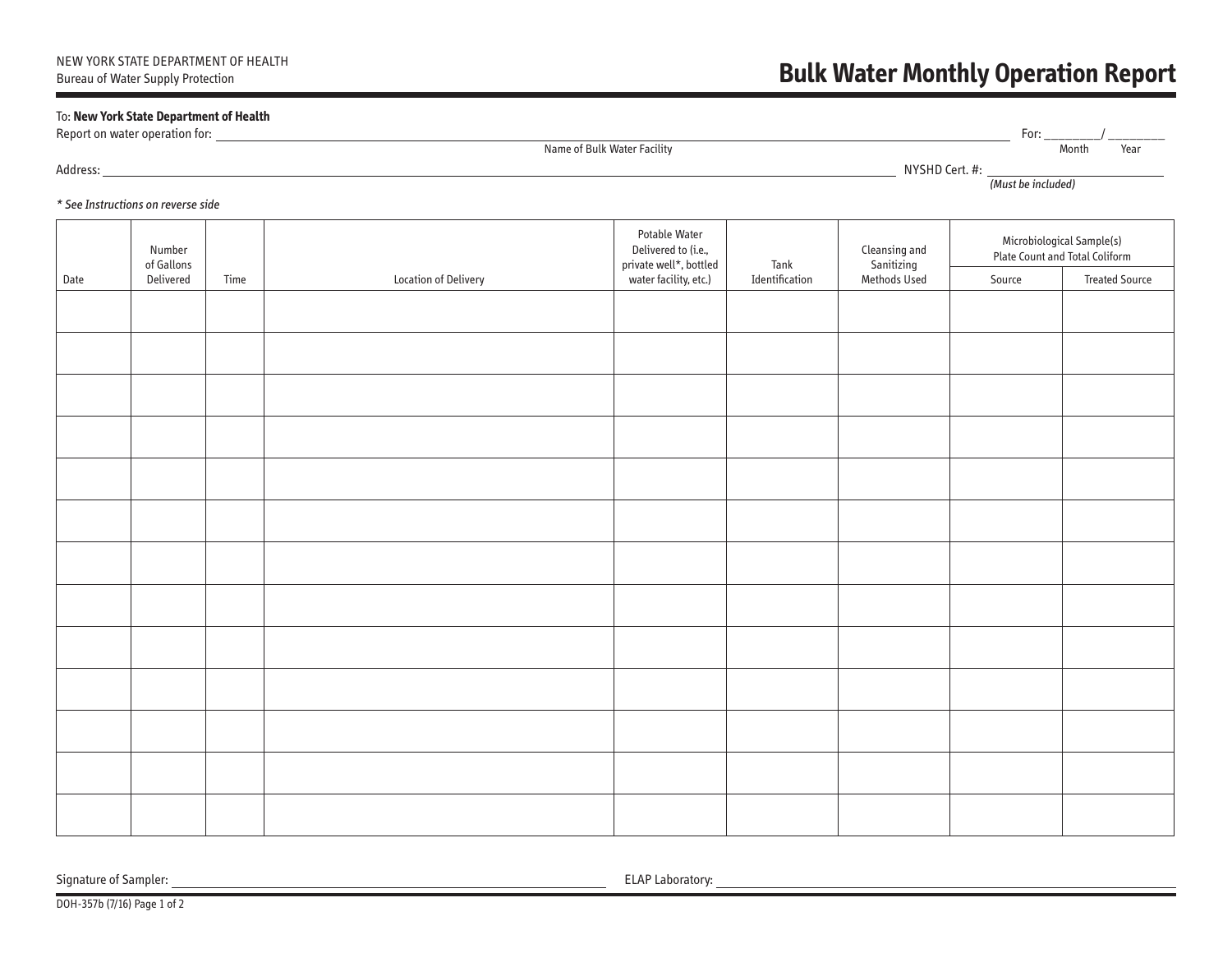## **Bulk Water Monthly Operation Report**

## To: **New York State Department of Health**

Report on water operation for: For: \_\_\_\_\_\_\_\_/ \_\_\_\_\_\_\_\_

Address: NYSHD Cert. #:

Name of Bulk Water Facility Month Year

(Must be included)

## \* See Instructions on reverse side

|      | Number<br>of Gallons |      |                      | Potable Water<br>Delivered to (i.e.,<br>private well*, bottled | Tank           | Cleansing and<br>Sanitizing<br>Methods Used | Microbiological Sample(s)<br>Plate Count and Total Coliform |                       |
|------|----------------------|------|----------------------|----------------------------------------------------------------|----------------|---------------------------------------------|-------------------------------------------------------------|-----------------------|
| Date | Delivered            | Time | Location of Delivery | water facility, etc.)                                          | Identification |                                             | Source                                                      | <b>Treated Source</b> |
|      |                      |      |                      |                                                                |                |                                             |                                                             |                       |
|      |                      |      |                      |                                                                |                |                                             |                                                             |                       |
|      |                      |      |                      |                                                                |                |                                             |                                                             |                       |
|      |                      |      |                      |                                                                |                |                                             |                                                             |                       |
|      |                      |      |                      |                                                                |                |                                             |                                                             |                       |
|      |                      |      |                      |                                                                |                |                                             |                                                             |                       |
|      |                      |      |                      |                                                                |                |                                             |                                                             |                       |
|      |                      |      |                      |                                                                |                |                                             |                                                             |                       |
|      |                      |      |                      |                                                                |                |                                             |                                                             |                       |
|      |                      |      |                      |                                                                |                |                                             |                                                             |                       |
|      |                      |      |                      |                                                                |                |                                             |                                                             |                       |
|      |                      |      |                      |                                                                |                |                                             |                                                             |                       |
|      |                      |      |                      |                                                                |                |                                             |                                                             |                       |

Signature of Sampler: <u>ELAP Laboratory:</u>

DOH-357b (7/16) Page 1 of 2